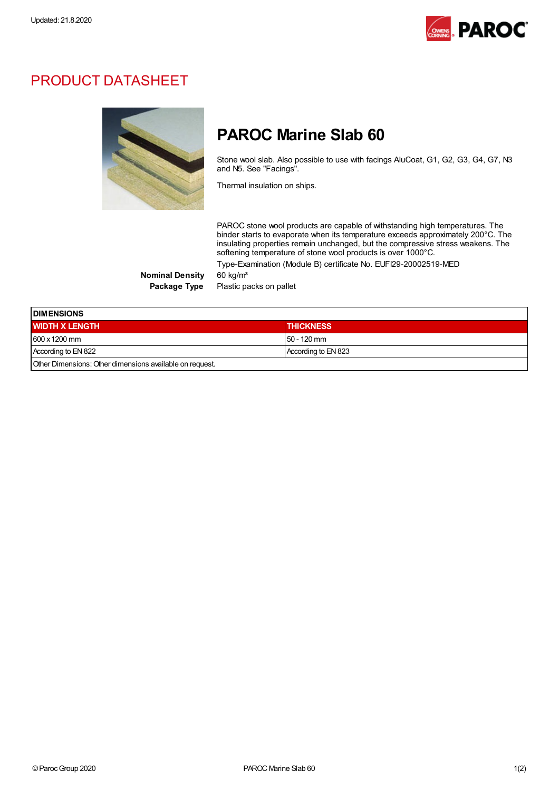

## PRODUCT DATASHEET



## PAROC Marine Slab 60

Stone wool slab. Also possible to use with facings AluCoat, G1, G2, G3, G4, G7, N3 and N5. See "Facings".

Thermal insulation on ships.

PAROC stone wool products are capable of withstanding high temperatures. The binder starts to evaporate when its temperature exceeds approximately 200°C. The insulating properties remain unchanged, but the compressive stress weakens. The softening temperature of stone wool products is over 1000°C.

Type-Examination (Module B) certificate No. EUFI29-20002519-MED

Nominal Density 60 kg/m<sup>3</sup>

Package Type Plastic packs on pallet

| <b>IDIMENSIONS</b>                                       |                     |  |
|----------------------------------------------------------|---------------------|--|
| <b>WIDTH X LENGTH</b>                                    | <b>THICKNESS</b>    |  |
| $1600 \times 1200$ mm                                    | $150 - 120$ mm      |  |
| According to EN 822                                      | According to EN 823 |  |
| Other Dimensions: Other dimensions available on request. |                     |  |